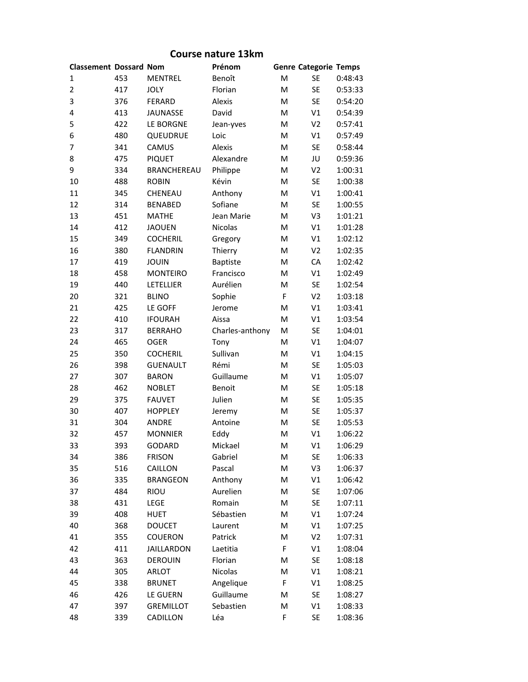| <b>Classement Dossard Nom</b> |     |                   | Prénom          |   | <b>Genre Categorie Temps</b> |         |
|-------------------------------|-----|-------------------|-----------------|---|------------------------------|---------|
| 1                             | 453 | <b>MENTREL</b>    | Benoît          | M | <b>SE</b>                    | 0:48:43 |
| $\overline{c}$                | 417 | <b>JOLY</b>       | Florian         | M | <b>SE</b>                    | 0:53:33 |
| 3                             | 376 | FERARD            | Alexis          | M | <b>SE</b>                    | 0:54:20 |
| 4                             | 413 | JAUNASSE          | David           | M | V1                           | 0:54:39 |
| 5                             | 422 | LE BORGNE         | Jean-yves       | M | V <sub>2</sub>               | 0:57:41 |
| 6                             | 480 | QUEUDRUE          | Loic            | M | V1                           | 0:57:49 |
| 7                             | 341 | CAMUS             | Alexis          | M | <b>SE</b>                    | 0:58:44 |
| 8                             | 475 | <b>PIQUET</b>     | Alexandre       | M | JU                           | 0:59:36 |
| 9                             | 334 | BRANCHEREAU       | Philippe        | M | V <sub>2</sub>               | 1:00:31 |
| 10                            | 488 | <b>ROBIN</b>      | Kévin           | M | <b>SE</b>                    | 1:00:38 |
| 11                            | 345 | CHENEAU           | Anthony         | M | V1                           | 1:00:41 |
| 12                            | 314 | <b>BENABED</b>    | Sofiane         | M | <b>SE</b>                    | 1:00:55 |
| 13                            | 451 | <b>MATHE</b>      | Jean Marie      | M | V3                           | 1:01:21 |
| 14                            | 412 | <b>JAOUEN</b>     | Nicolas         | M | V1                           | 1:01:28 |
| 15                            | 349 | <b>COCHERIL</b>   | Gregory         | M | V1                           | 1:02:12 |
| 16                            | 380 | <b>FLANDRIN</b>   | Thierry         | M | V <sub>2</sub>               | 1:02:35 |
| 17                            | 419 | <b>JOUIN</b>      | <b>Baptiste</b> | M | CA                           | 1:02:42 |
| 18                            | 458 | <b>MONTEIRO</b>   | Francisco       | M | V1                           | 1:02:49 |
| 19                            | 440 | LETELLIER         | Aurélien        | M | <b>SE</b>                    | 1:02:54 |
| 20                            | 321 | <b>BLINO</b>      | Sophie          | F | V <sub>2</sub>               | 1:03:18 |
| 21                            | 425 | LE GOFF           | Jerome          | M | V1                           | 1:03:41 |
| 22                            | 410 | <b>IFOURAH</b>    | Aissa           | M | V1                           | 1:03:54 |
| 23                            | 317 | <b>BERRAHO</b>    | Charles-anthony | M | <b>SE</b>                    | 1:04:01 |
| 24                            | 465 | <b>OGER</b>       | Tony            | M | V1                           | 1:04:07 |
| 25                            | 350 | <b>COCHERIL</b>   | Sullivan        | M | V1                           | 1:04:15 |
| 26                            | 398 | <b>GUENAULT</b>   | Rémi            | M | <b>SE</b>                    | 1:05:03 |
| 27                            | 307 | <b>BARON</b>      | Guillaume       | M | V1                           | 1:05:07 |
| 28                            | 462 | <b>NOBLET</b>     | Benoit          | M | <b>SE</b>                    | 1:05:18 |
| 29                            | 375 | <b>FAUVET</b>     | Julien          | M | <b>SE</b>                    | 1:05:35 |
| 30                            | 407 | <b>HOPPLEY</b>    | Jeremy          | M | <b>SE</b>                    | 1:05:37 |
| 31                            | 304 | <b>ANDRE</b>      | Antoine         | M | <b>SE</b>                    | 1:05:53 |
| 32                            | 457 | <b>MONNIER</b>    | Eddy            | M | V1                           | 1:06:22 |
| 33                            | 393 | GODARD            | Mickael         | M | V <sub>1</sub>               | 1:06:29 |
| 34                            | 386 | <b>FRISON</b>     | Gabriel         | M | <b>SE</b>                    | 1:06:33 |
| 35                            | 516 | CAILLON           | Pascal          | М | V3                           | 1:06:37 |
| 36                            | 335 | <b>BRANGEON</b>   | Anthony         | М | V1                           | 1:06:42 |
| 37                            | 484 | RIOU              | Aurelien        | M | SE                           | 1:07:06 |
| 38                            | 431 | LEGE              | Romain          | M | SE                           | 1:07:11 |
| 39                            | 408 | HUET              | Sébastien       | M | V1                           | 1:07:24 |
| 40                            | 368 | <b>DOUCET</b>     | Laurent         | М | V1                           | 1:07:25 |
| 41                            | 355 | <b>COUERON</b>    | Patrick         | М | V <sub>2</sub>               | 1:07:31 |
| 42                            | 411 | <b>JAILLARDON</b> | Laetitia        | F | V1                           | 1:08:04 |
| 43                            | 363 | <b>DEROUIN</b>    | Florian         | М | <b>SE</b>                    | 1:08:18 |
| 44                            | 305 | ARLOT             | Nicolas         | М | V1                           | 1:08:21 |
| 45                            | 338 | <b>BRUNET</b>     | Angelique       | F | V1                           | 1:08:25 |
| 46                            | 426 | LE GUERN          | Guillaume       | М | SE                           | 1:08:27 |
| 47                            | 397 | <b>GREMILLOT</b>  | Sebastien       | M | V1                           | 1:08:33 |
| 48                            | 339 | CADILLON          | Léa             | F | SE                           | 1:08:36 |

## **Course nature 13km**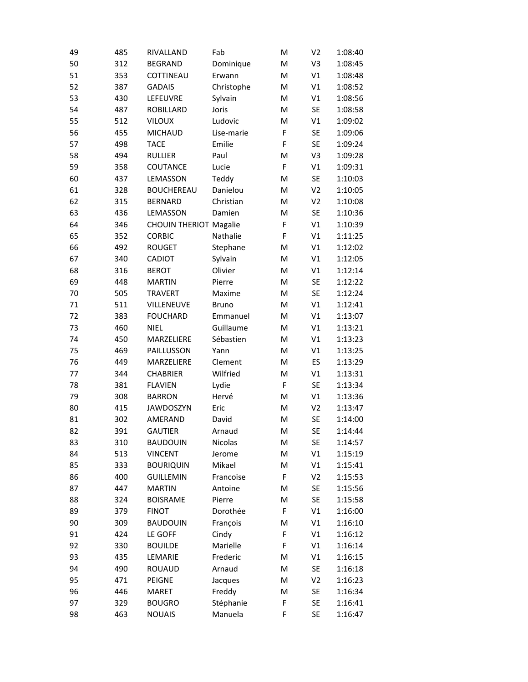| 49 | 485 | RIVALLAND                     | Fab          | M           | V <sub>2</sub> | 1:08:40 |
|----|-----|-------------------------------|--------------|-------------|----------------|---------|
| 50 | 312 | <b>BEGRAND</b>                | Dominique    | M           | V3             | 1:08:45 |
| 51 | 353 | COTTINEAU                     | Erwann       | M           | V1             | 1:08:48 |
| 52 | 387 | <b>GADAIS</b>                 | Christophe   | M           | V1             | 1:08:52 |
| 53 | 430 | LEFEUVRE                      | Sylvain      | M           | V1             | 1:08:56 |
| 54 | 487 | ROBILLARD                     | Joris        | M           | <b>SE</b>      | 1:08:58 |
| 55 | 512 | <b>VILOUX</b>                 | Ludovic      | M           | V1             | 1:09:02 |
| 56 | 455 | <b>MICHAUD</b>                | Lise-marie   | $\mathsf F$ | <b>SE</b>      | 1:09:06 |
| 57 | 498 | <b>TACE</b>                   | Emilie       | $\mathsf F$ | <b>SE</b>      | 1:09:24 |
| 58 | 494 | <b>RULLIER</b>                | Paul         | M           | V3             | 1:09:28 |
| 59 | 358 | COUTANCE                      | Lucie        | F           | V1             | 1:09:31 |
| 60 | 437 | LEMASSON                      | Teddy        | M           | <b>SE</b>      | 1:10:03 |
| 61 | 328 | <b>BOUCHEREAU</b>             | Danielou     | M           | V <sub>2</sub> | 1:10:05 |
| 62 | 315 | <b>BERNARD</b>                | Christian    | M           | V <sub>2</sub> | 1:10:08 |
| 63 | 436 | LEMASSON                      | Damien       | M           | <b>SE</b>      | 1:10:36 |
| 64 | 346 | <b>CHOUIN THERIOT Magalie</b> |              | F           | V1             | 1:10:39 |
| 65 | 352 | <b>CORBIC</b>                 | Nathalie     | $\mathsf F$ | V1             | 1:11:25 |
| 66 | 492 | <b>ROUGET</b>                 | Stephane     | M           | V1             | 1:12:02 |
| 67 | 340 | CADIOT                        | Sylvain      | M           | V1             | 1:12:05 |
| 68 | 316 | <b>BEROT</b>                  | Olivier      | M           | V1             | 1:12:14 |
| 69 | 448 | <b>MARTIN</b>                 | Pierre       | M           | <b>SE</b>      | 1:12:22 |
| 70 | 505 | <b>TRAVERT</b>                | Maxime       | M           | <b>SE</b>      | 1:12:24 |
| 71 | 511 | VILLENEUVE                    | <b>Bruno</b> | M           | V1             | 1:12:41 |
| 72 | 383 | <b>FOUCHARD</b>               | Emmanuel     | M           | V1             | 1:13:07 |
| 73 | 460 | <b>NIEL</b>                   | Guillaume    | M           | V1             | 1:13:21 |
| 74 | 450 | MARZELIERE                    | Sébastien    | M           | V1             | 1:13:23 |
| 75 | 469 | PAILLUSSON                    | Yann         | M           | V1             | 1:13:25 |
| 76 | 449 | MARZELIERE                    | Clement      | M           | ES             | 1:13:29 |
| 77 | 344 | <b>CHABRIER</b>               | Wilfried     | M           | V1             | 1:13:31 |
| 78 | 381 | <b>FLAVIEN</b>                | Lydie        | F           | <b>SE</b>      | 1:13:34 |
| 79 | 308 | <b>BARRON</b>                 | Hervé        | M           | V1             | 1:13:36 |
| 80 | 415 | <b>JAWDOSZYN</b>              | Eric         | M           | V <sub>2</sub> | 1:13:47 |
| 81 | 302 | AMERAND                       | David        | M           | <b>SE</b>      | 1:14:00 |
| 82 | 391 | <b>GAUTIER</b>                | Arnaud       | M           | <b>SE</b>      | 1:14:44 |
| 83 | 310 | <b>BAUDOUIN</b>               | Nicolas      | M           | <b>SE</b>      | 1:14:57 |
| 84 | 513 | <b>VINCENT</b>                | Jerome       | M           | V1             | 1:15:19 |
| 85 | 333 | <b>BOURIQUIN</b>              | Mikael       | M           | V1             | 1:15:41 |
| 86 | 400 | <b>GUILLEMIN</b>              | Francoise    | F           | V <sub>2</sub> | 1:15:53 |
| 87 | 447 | <b>MARTIN</b>                 | Antoine      | M           | <b>SE</b>      | 1:15:56 |
| 88 | 324 | <b>BOISRAME</b>               | Pierre       | M           | <b>SE</b>      | 1:15:58 |
| 89 | 379 | <b>FINOT</b>                  | Dorothée     | F           | V1             | 1:16:00 |
| 90 | 309 | <b>BAUDOUIN</b>               | François     | M           | V1             | 1:16:10 |
| 91 | 424 | LE GOFF                       | Cindy        | F           | V1             | 1:16:12 |
| 92 | 330 | <b>BOUILDE</b>                | Marielle     | $\mathsf F$ | V1             | 1:16:14 |
| 93 | 435 | LEMARIE                       | Frederic     | M           | V1             | 1:16:15 |
| 94 | 490 | <b>ROUAUD</b>                 | Arnaud       | M           | <b>SE</b>      | 1:16:18 |
| 95 | 471 | PEIGNE                        | Jacques      | M           | V <sub>2</sub> | 1:16:23 |
| 96 | 446 | <b>MARET</b>                  | Freddy       | M           | <b>SE</b>      | 1:16:34 |
| 97 | 329 | <b>BOUGRO</b>                 | Stéphanie    | F           | <b>SE</b>      | 1:16:41 |
| 98 | 463 | <b>NOUAIS</b>                 | Manuela      | F           | <b>SE</b>      | 1:16:47 |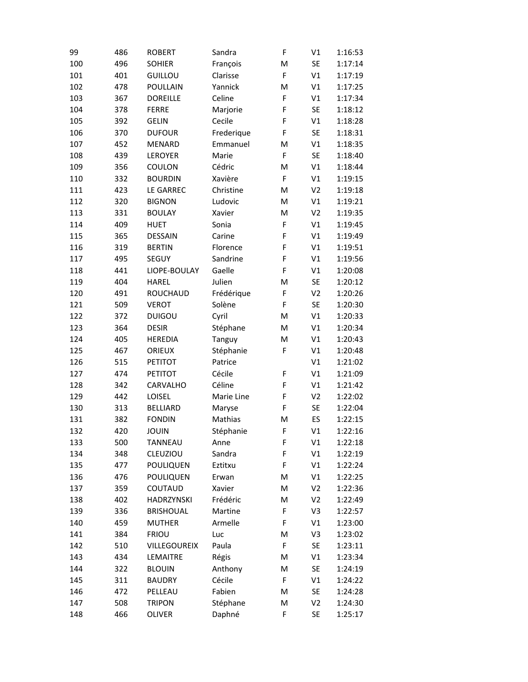| 99  | 486 | <b>ROBERT</b>    | Sandra     | F           | V1             | 1:16:53 |
|-----|-----|------------------|------------|-------------|----------------|---------|
| 100 | 496 | <b>SOHIER</b>    | François   | M           | <b>SE</b>      | 1:17:14 |
| 101 | 401 | GUILLOU          | Clarisse   | F           | V <sub>1</sub> | 1:17:19 |
| 102 | 478 | POULLAIN         | Yannick    | M           | V1             | 1:17:25 |
| 103 | 367 | <b>DOREILLE</b>  | Celine     | F           | V1             | 1:17:34 |
| 104 | 378 | <b>FERRE</b>     | Marjorie   | F           | <b>SE</b>      | 1:18:12 |
| 105 | 392 | <b>GELIN</b>     | Cecile     | F           | V1             | 1:18:28 |
| 106 | 370 | <b>DUFOUR</b>    | Frederique | $\mathsf F$ | <b>SE</b>      | 1:18:31 |
| 107 | 452 | <b>MENARD</b>    | Emmanuel   | M           | V1             | 1:18:35 |
| 108 | 439 | LEROYER          | Marie      | F           | <b>SE</b>      | 1:18:40 |
| 109 | 356 | COULON           | Cédric     | M           | V1             | 1:18:44 |
| 110 | 332 | <b>BOURDIN</b>   | Xavière    | F           | V1             | 1:19:15 |
| 111 | 423 | LE GARREC        | Christine  | M           | V <sub>2</sub> | 1:19:18 |
| 112 | 320 | <b>BIGNON</b>    | Ludovic    | M           | V1             | 1:19:21 |
| 113 | 331 | <b>BOULAY</b>    | Xavier     | M           | V <sub>2</sub> | 1:19:35 |
| 114 | 409 | <b>HUET</b>      | Sonia      | F           | V1             | 1:19:45 |
| 115 | 365 | <b>DESSAIN</b>   | Carine     | F           | V1             | 1:19:49 |
| 116 | 319 | <b>BERTIN</b>    | Florence   | F           | V1             | 1:19:51 |
| 117 | 495 | SEGUY            | Sandrine   | F           | V1             | 1:19:56 |
| 118 | 441 | LIOPE-BOULAY     | Gaelle     | F           | V1             | 1:20:08 |
| 119 | 404 | <b>HAREL</b>     | Julien     | M           | <b>SE</b>      | 1:20:12 |
| 120 | 491 | <b>ROUCHAUD</b>  | Frédérique | F           | V <sub>2</sub> | 1:20:26 |
| 121 | 509 | <b>VEROT</b>     | Solène     | F           | <b>SE</b>      | 1:20:30 |
| 122 | 372 | <b>DUIGOU</b>    | Cyril      | M           | V1             | 1:20:33 |
| 123 | 364 | <b>DESIR</b>     | Stéphane   | M           | V1             | 1:20:34 |
| 124 | 405 | <b>HEREDIA</b>   | Tanguy     | M           | V1             | 1:20:43 |
| 125 | 467 | ORIEUX           | Stéphanie  | F           | V1             | 1:20:48 |
| 126 | 515 | <b>PETITOT</b>   | Patrice    |             | V1             | 1:21:02 |
| 127 | 474 | <b>PETITOT</b>   | Cécile     | F           | V1             | 1:21:09 |
| 128 | 342 | CARVALHO         | Céline     | F           | V1             | 1:21:42 |
| 129 | 442 | LOISEL           | Marie Line | F           | V <sub>2</sub> | 1:22:02 |
| 130 | 313 | <b>BELLIARD</b>  | Maryse     | F           | <b>SE</b>      | 1:22:04 |
| 131 | 382 | <b>FONDIN</b>    | Mathias    | M           | ES             | 1:22:15 |
| 132 | 420 | <b>JOUIN</b>     | Stéphanie  | F           | V <sub>1</sub> | 1:22:16 |
| 133 | 500 | <b>TANNEAU</b>   | Anne       | F           | V1             | 1:22:18 |
| 134 | 348 | CLEUZIOU         | Sandra     | F           | V1             | 1:22:19 |
| 135 | 477 | POULIQUEN        | Eztitxu    | F           | V1             | 1:22:24 |
| 136 | 476 | <b>POULIQUEN</b> | Erwan      | M           | V1             | 1:22:25 |
| 137 | 359 | COUTAUD          | Xavier     | M           | V <sub>2</sub> | 1:22:36 |
| 138 | 402 | HADRZYNSKI       | Frédéric   | M           | V <sub>2</sub> | 1:22:49 |
| 139 | 336 | <b>BRISHOUAL</b> | Martine    | F           | V3             | 1:22:57 |
| 140 | 459 | <b>MUTHER</b>    | Armelle    | F           | V1             | 1:23:00 |
| 141 | 384 | <b>FRIOU</b>     | Luc        | M           | V3             | 1:23:02 |
| 142 | 510 | VILLEGOUREIX     | Paula      | F           | <b>SE</b>      | 1:23:11 |
| 143 | 434 | LEMAITRE         | Régis      | M           | V1             | 1:23:34 |
| 144 | 322 | <b>BLOUIN</b>    | Anthony    | M           | <b>SE</b>      | 1:24:19 |
| 145 | 311 | <b>BAUDRY</b>    | Cécile     | $\mathsf F$ | V1             | 1:24:22 |
| 146 | 472 | PELLEAU          | Fabien     | M           | <b>SE</b>      | 1:24:28 |
| 147 | 508 | <b>TRIPON</b>    | Stéphane   | M           | V <sub>2</sub> | 1:24:30 |
| 148 | 466 | OLIVER           | Daphné     | F           | SE             | 1:25:17 |